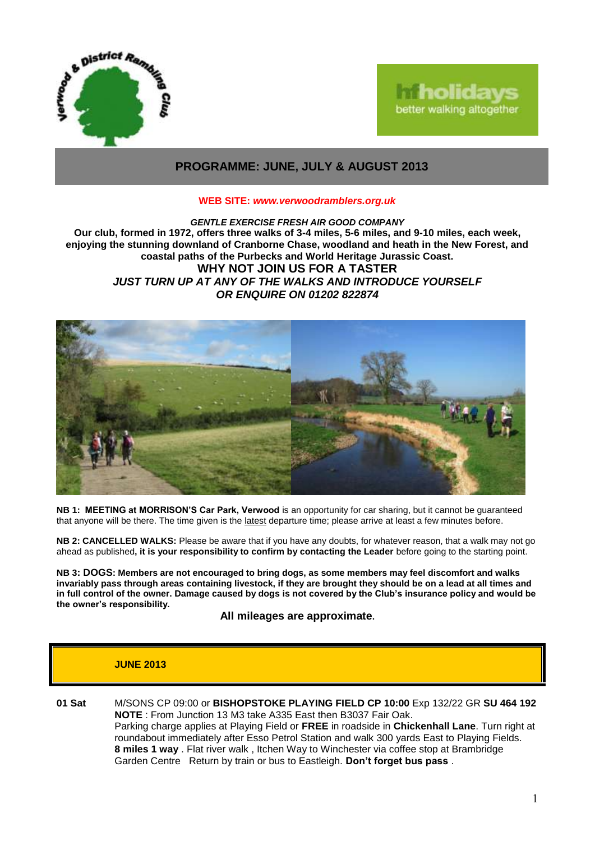

# **holidays** better walking altogether

# **PROGRAMME: JUNE, JULY & AUGUST 2013**

### **WEB SITE:** *[www.verwoodramblers.org.uk](http://www.verwoodramblers.org.uk/)*

### *GENTLE EXERCISE FRESH AIR GOOD COMPANY* **Our club, formed in 1972, offers three walks of 3-4 miles, 5-6 miles, and 9-10 miles, each week, enjoying the stunning downland of Cranborne Chase, woodland and heath in the New Forest, and coastal paths of the Purbecks and World Heritage Jurassic Coast. WHY NOT JOIN US FOR A TASTER** *JUST TURN UP AT ANY OF THE WALKS AND INTRODUCE YOURSELF OR ENQUIRE ON 01202 822874*



**NB 1: MEETING at MORRISON'S Car Park, Verwood** is an opportunity for car sharing, but it cannot be guaranteed that anyone will be there. The time given is the latest departure time; please arrive at least a few minutes before.

**NB 2: CANCELLED WALKS:** Please be aware that if you have any doubts, for whatever reason, that a walk may not go ahead as published**, it is your responsibility to confirm by contacting the Leader** before going to the starting point.

**NB 3: DOGS: Members are not encouraged to bring dogs, as some members may feel discomfort and walks invariably pass through areas containing livestock, if they are brought they should be on a lead at all times and in full control of the owner. Damage caused by dogs is not covered by the Club's insurance policy and would be the owner's responsibility.**

**All mileages are approximate.**

# **JUNE 2013**

**01 Sat** M/SONS CP 09:00 or **BISHOPSTOKE PLAYING FIELD CP 10:00** Exp 132/22 GR **SU 464 192 NOTE** : From Junction 13 M3 take A335 East then B3037 Fair Oak. Parking charge applies at Playing Field or **FREE** in roadside in **Chickenhall Lane**. Turn right at roundabout immediately after Esso Petrol Station and walk 300 yards East to Playing Fields. **8 miles 1 way** . Flat river walk , Itchen Way to Winchester via coffee stop at Brambridge Garden Centre Return by train or bus to Eastleigh. **Don't forget bus pass** .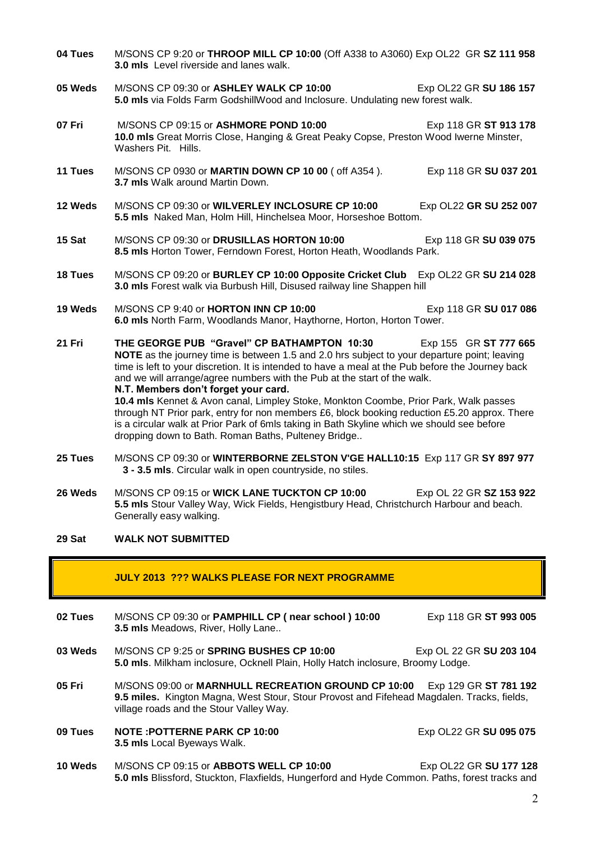- **04 Tues** M/SONS CP 9:20 or **THROOP MILL CP 10:00** (Off A338 to A3060) Exp OL22 GR **SZ 111 958 3.0 mls** Level riverside and lanes walk.
- **05 Weds** M/SONS CP 09:30 or **ASHLEY WALK CP 10:00** Exp OL22 GR **SU 186 157 5.0 mls** via Folds Farm GodshillWood and Inclosure. Undulating new forest walk.
- **07 Fri** M/SONS CP 09:15 or **ASHMORE POND 10:00** Exp 118 GR **ST 913 178 10.0 mls** Great Morris Close, Hanging & Great Peaky Copse, Preston Wood Iwerne Minster, Washers Pit. Hills.
- **11 Tues** M/SONS CP 0930 or **MARTIN DOWN CP 10 00** ( off A354 ). Exp 118 GR **SU 037 201 3.7 mls** Walk around Martin Down.
- **12 Weds** M/SONS CP 09:30 or **WILVERLEY INCLOSURE CP 10:00** Exp OL22 **GR SU 252 007 5.5 mls** Naked Man, Holm Hill, Hinchelsea Moor, Horseshoe Bottom.
- **15 Sat** M/SONS CP 09:30 or **DRUSILLAS HORTON 10:00** Exp 118 GR **SU 039 075 8.5 mls** Horton Tower, Ferndown Forest, Horton Heath, Woodlands Park.
- **18 Tues** M/SONS CP 09:20 or **BURLEY CP 10:00 Opposite Cricket Club** Exp OL22 GR **SU 214 028 3.0 mls** Forest walk via Burbush Hill, Disused railway line Shappen hill
- **19 Weds** M/SONS CP 9:40 or **HORTON INN CP 10:00** Exp 118 GR **SU 017 086 6.0 mls** North Farm, Woodlands Manor, Haythorne, Horton, Horton Tower.
- **21 Fri THE GEORGE PUB "Gravel" CP BATHAMPTON 10:30** Exp 155 GR **ST 777 665 NOTE** as the journey time is between 1.5 and 2.0 hrs subject to your departure point; leaving time is left to your discretion. It is intended to have a meal at the Pub before the Journey back and we will arrange/agree numbers with the Pub at the start of the walk. **N.T. Members don't forget your card.**

**10.4 mls** Kennet & Avon canal, Limpley Stoke, Monkton Coombe, Prior Park, Walk passes through NT Prior park, entry for non members £6, block booking reduction £5.20 approx. There is a circular walk at Prior Park of 6mls taking in Bath Skyline which we should see before dropping down to Bath. Roman Baths, Pulteney Bridge..

- **25 Tues** M/SONS CP 09:30 or **WINTERBORNE ZELSTON V'GE HALL10:15** Exp 117 GR **SY 897 977 3 - 3.5 mls**. Circular walk in open countryside, no stiles.
- **26 Weds** M/SONS CP 09:15 or **WICK LANE TUCKTON CP 10:00** Exp OL 22 GR **SZ 153 922 5.5 mls** Stour Valley Way, Wick Fields, Hengistbury Head, Christchurch Harbour and beach. Generally easy walking.

# **29 Sat WALK NOT SUBMITTED**

#### **JULY 2013 ??? WALKS PLEASE FOR NEXT PROGRAMME**

- **02 Tues** M/SONS CP 09:30 or **PAMPHILL CP ( near school ) 10:00** Exp 118 GR **ST 993 005 3.5 mls** Meadows, River, Holly Lane..
- **03 Weds** M/SONS CP 9:25 or **SPRING BUSHES CP 10:00** Exp OL 22 GR SU 203 104 **5.0 mls**. Milkham inclosure, Ocknell Plain, Holly Hatch inclosure, Broomy Lodge.
- **05 Fri** M/SONS 09:00 or **MARNHULL RECREATION GROUND CP 10:00** Exp 129 GR **ST 781 192 9.5 miles.** Kington Magna, West Stour, Stour Provost and Fifehead Magdalen. Tracks, fields, village roads and the Stour Valley Way.
- **09 Tues NOTE :POTTERNE PARK CP 10:00** Exp OL22 GR SU 095 075 **3.5 mls** Local Byeways Walk.
- **10 Weds** M/SONS CP 09:15 or **ABBOTS WELL CP 10:00** Exp OL22 GR **SU 177 128 5.0 mls** Blissford, Stuckton, Flaxfields, Hungerford and Hyde Common. Paths, forest tracks and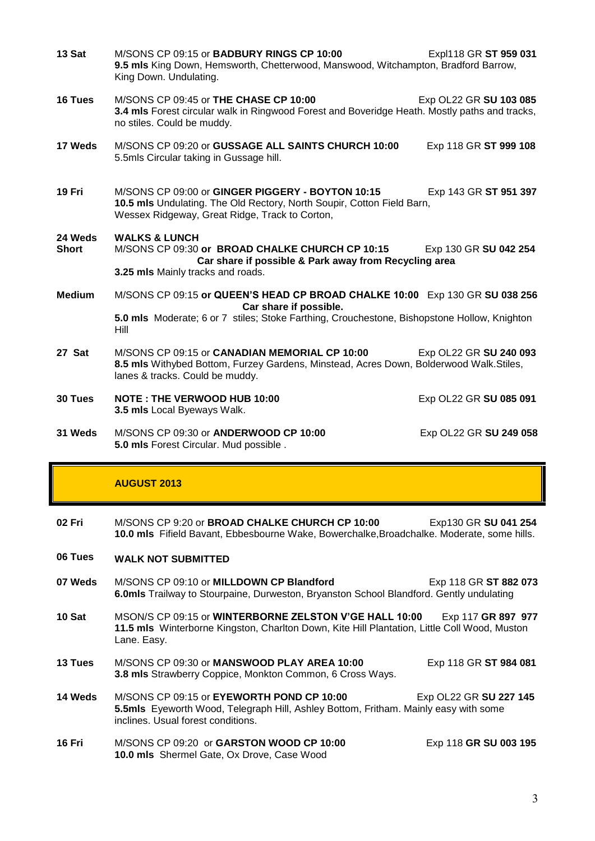- **13 Sat** M/SONS CP 09:15 or **BADBURY RINGS CP 10:00** Expl118 GR **ST 959 031 9.5 mls** King Down, Hemsworth, Chetterwood, Manswood, Witchampton, Bradford Barrow, King Down. Undulating.
- **16 Tues** M/SONS CP 09:45 or **THE CHASE CP 10:00** Exp OL22 GR **SU 103 085 3.4 mls** Forest circular walk in Ringwood Forest and Boveridge Heath. Mostly paths and tracks, no stiles. Could be muddy.
- **17 Weds** M/SONS CP 09:20 or **GUSSAGE ALL SAINTS CHURCH 10:00** Exp 118 GR **ST 999 108** 5.5mls Circular taking in Gussage hill.
- **19 Fri** M/SONS CP 09:00 or **GINGER PIGGERY - BOYTON 10:15** Exp 143 GR **ST 951 397 10.5 mls** Undulating. The Old Rectory, North Soupir, Cotton Field Barn, Wessex Ridgeway, Great Ridge, Track to Corton,

#### **24 Weds WALKS & LUNCH**

- **Short** M/SONS CP 09:30 **or BROAD CHALKE CHURCH CP 10:15** Exp 130 GR **SU 042 254 Car share if possible & Park away from Recycling area 3.25 mls** Mainly tracks and roads.
- **Medium** M/SONS CP 09:15 **or QUEEN'S HEAD CP BROAD CHALKE 10:00** Exp 130 GR **SU 038 256 Car share if possible. 5.0 mls** Moderate; 6 or 7 stiles; Stoke Farthing, Crouchestone, Bishopstone Hollow, Knighton Hill
- **27 Sat** M/SONS CP 09:15 or **CANADIAN MEMORIAL CP 10:00** Exp OL22 GR **SU 240 093 8.5 mls** Withybed Bottom, Furzey Gardens, Minstead, Acres Down, Bolderwood Walk.Stiles, lanes & tracks. Could be muddy.
- **30 Tues NOTE : THE VERWOOD HUB 10:00** Exp OL22 GR **SU 085 091 3.5 mls** Local Byeways Walk.
- **31 Weds** M/SONS CP 09:30 or **ANDERWOOD CP 10:00** Exp OL22 GR **SU 249 058 5.0 mls** Forest Circular. Mud possible .

# **AUGUST 2013**

- **02 Fri** M/SONS CP 9:20 or **BROAD CHALKE CHURCH CP 10:00** Exp130 GR **SU 041 254 10.0 mls** Fifield Bavant, Ebbesbourne Wake, Bowerchalke,Broadchalke. Moderate, some hills.
- **06 Tues WALK NOT SUBMITTED**
- **07 Weds** M/SONS CP 09:10 or **MILLDOWN CP Blandford** Exp 118 GR **ST 882 073 6.0mls** Trailway to Stourpaine, Durweston, Bryanston School Blandford. Gently undulating
- **10 Sat** MSON/S CP 09:15 or **WINTERBORNE ZELSTON V'GE HALL 10:00** Exp 117 **GR 897 977 11.5 mls** Winterborne Kingston, Charlton Down, Kite Hill Plantation, Little Coll Wood, Muston Lane. Easy.
- **13 Tues** M/SONS CP 09:30 or **MANSWOOD PLAY AREA 10:00** Exp 118 GR **ST 984 081 3.8 mls** Strawberry Coppice, Monkton Common, 6 Cross Ways.
- **14 Weds** M/SONS CP 09:15 or **EYEWORTH POND CP 10:00** Exp OL22 GR **SU 227 145 5.5mls** Eyeworth Wood, Telegraph Hill, Ashley Bottom, Fritham. Mainly easy with some inclines. Usual forest conditions.
- **16 Fri** M/SONS CP 09:20or **GARSTON WOOD CP 10:00** Exp 118 **GR SU 003 195 10.0 mls** Shermel Gate, Ox Drove, Case Wood